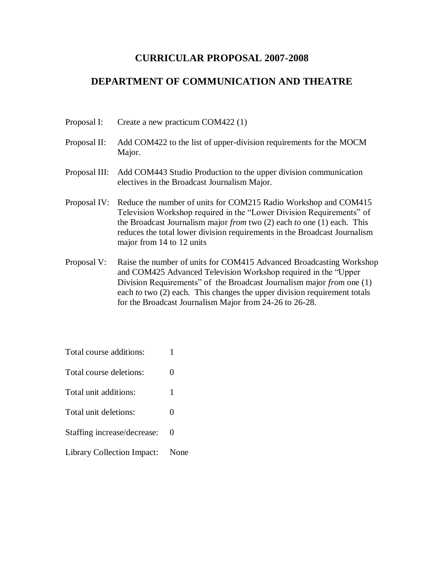## **CURRICULAR PROPOSAL 2007-2008**

# **DEPARTMENT OF COMMUNICATION AND THEATRE**

| Create a new practicum COM422 (1) | Proposal I: |  |  |  |  |
|-----------------------------------|-------------|--|--|--|--|
|-----------------------------------|-------------|--|--|--|--|

- Proposal II: Add COM422 to the list of upper-division requirements for the MOCM Major.
- Proposal III: Add COM443 Studio Production to the upper division communication electives in the Broadcast Journalism Major.
- Proposal IV: Reduce the number of units for COM215 Radio Workshop and COM415 Television Workshop required in the "Lower Division Requirements" of the Broadcast Journalism major *from* two (2) each *to* one (1) each. This reduces the total lower division requirements in the Broadcast Journalism major from 14 to 12 units
- Proposal V: Raise the number of units for COM415 Advanced Broadcasting Workshop and COM425 Advanced Television Workshop required in the "Upper Division Requirements" of the Broadcast Journalism major *from* one (1) each *to* two (2) each. This changes the upper division requirement totals for the Broadcast Journalism Major from 24-26 to 26-28.

| Total course additions:     |      |
|-----------------------------|------|
| Total course deletions:     | 0    |
| Total unit additions:       | 1    |
| Total unit deletions:       | 0    |
| Staffing increase/decrease: | 0    |
| Library Collection Impact:  | None |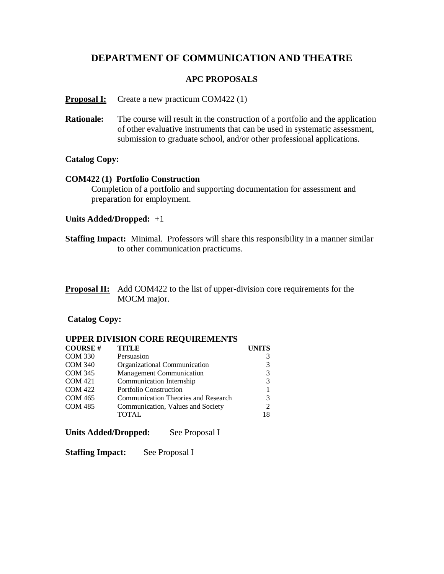# **DEPARTMENT OF COMMUNICATION AND THEATRE**

### **APC PROPOSALS**

### **Proposal I:** Create a new practicum COM422 (1)

**Rationale:** The course will result in the construction of a portfolio and the application of other evaluative instruments that can be used in systematic assessment, submission to graduate school, and/or other professional applications.

### **Catalog Copy:**

### **COM422 (1) Portfolio Construction**

Completion of a portfolio and supporting documentation for assessment and preparation for employment.

### **Units Added/Dropped:** +1

**Staffing Impact:** Minimal. Professors will share this responsibility in a manner similar to other communication practicums.

| <b>Proposal II:</b> Add COM422 to the list of upper-division core requirements for the |
|----------------------------------------------------------------------------------------|
| MOCM major.                                                                            |

### **Catalog Copy:**

### **UPPER DIVISION CORE REQUIREMENTS**

| <b>COURSE#</b> | <b>TITLE</b>                        | <b>UNITS</b> |
|----------------|-------------------------------------|--------------|
| <b>COM 330</b> | Persuasion                          |              |
| <b>COM 340</b> | Organizational Communication        | 3            |
| <b>COM 345</b> | Management Communication            | 3            |
| <b>COM 421</b> | Communication Internship            | 3            |
| <b>COM 422</b> | <b>Portfolio Construction</b>       |              |
| <b>COM 465</b> | Communication Theories and Research | 3            |
| <b>COM 485</b> | Communication, Values and Society   | 2            |
|                | <b>TOTAL</b>                        | 18           |

### **Units Added/Dropped:** See Proposal I

#### **Staffing Impact:** See Proposal I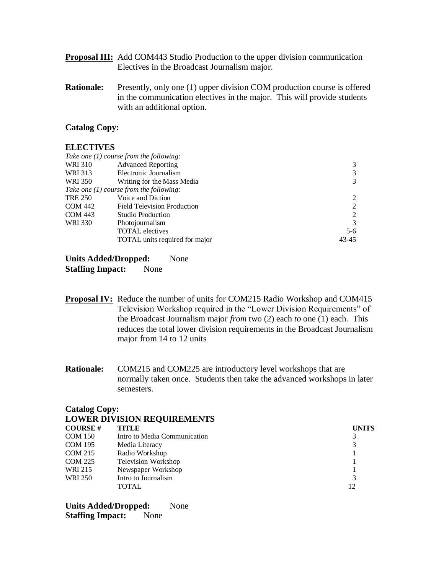- **Proposal III:** Add COM443 Studio Production to the upper division communication Electives in the Broadcast Journalism major.
- **Rationale:** Presently, only one (1) upper division COM production course is offered in the communication electives in the major. This will provide students with an additional option.

### **Catalog Copy:**

### **ELECTIVES**

|                | Take one $(1)$ course from the following: |       |
|----------------|-------------------------------------------|-------|
| WRI 310        | <b>Advanced Reporting</b>                 | 3     |
| WRI 313        | Electronic Journalism                     | 3     |
| WRI 350        | Writing for the Mass Media                | 3     |
|                | Take one $(1)$ course from the following: |       |
| <b>TRE 250</b> | Voice and Diction                         | 2     |
| <b>COM 442</b> | <b>Field Television Production</b>        | 2     |
| COM 443        | Studio Production                         | 2     |
| <b>WRI 330</b> | Photojournalism                           | 3     |
|                | <b>TOTAL</b> electives                    | $5-6$ |
|                | <b>TOTAL</b> units required for major     | 43-45 |

**Units Added/Dropped:** None **Staffing Impact:** None

- **Proposal IV:** Reduce the number of units for COM215 Radio Workshop and COM415 Television Workshop required in the "Lower Division Requirements" of the Broadcast Journalism major *from* two (2) each *to* one (1) each. This reduces the total lower division requirements in the Broadcast Journalism major from 14 to 12 units
- **Rationale:** COM215 and COM225 are introductory level workshops that are normally taken once. Students then take the advanced workshops in later semesters.

#### **Catalog Copy:**

|                | <b>LOWER DIVISION REQUIREMENTS</b> |              |
|----------------|------------------------------------|--------------|
| <b>COURSE#</b> | <b>TITLE</b>                       | <b>UNITS</b> |
| <b>COM 150</b> | Intro to Media Communication       | 3            |
| <b>COM 195</b> | Media Literacy                     | 3            |
| <b>COM 215</b> | Radio Workshop                     |              |
| <b>COM 225</b> | <b>Television Workshop</b>         |              |
| WRI 215        | Newspaper Workshop                 |              |
| <b>WRI 250</b> | Intro to Journalism                | 3            |
|                | <b>TOTAL</b>                       | 12           |

**Units Added/Dropped:** None **Staffing Impact:** None